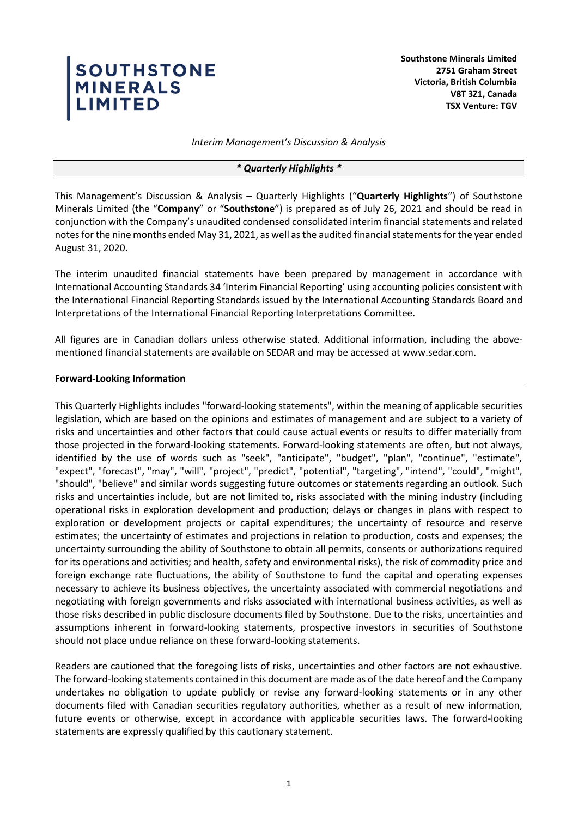# SOUTHSTONE<br>MINERALS<br>LIMITED

**Southstone Minerals Limited 2751 Graham Street Victoria, British Columbia V8T 3Z1, Canada TSX Venture: TGV**

*Interim Management's Discussion & Analysis*

#### *\* Quarterly Highlights \**

This Management's Discussion & Analysis – Quarterly Highlights ("**Quarterly Highlights**") of Southstone Minerals Limited (the "**Company**" or "**Southstone**") is prepared as of July 26, 2021 and should be read in conjunction with the Company's unaudited condensed consolidated interim financial statements and related notes for the nine months ended May 31, 2021, as well as the audited financial statements for the year ended August 31, 2020.

The interim unaudited financial statements have been prepared by management in accordance with International Accounting Standards 34 'Interim Financial Reporting' using accounting policies consistent with the International Financial Reporting Standards issued by the International Accounting Standards Board and Interpretations of the International Financial Reporting Interpretations Committee.

All figures are in Canadian dollars unless otherwise stated. Additional information, including the abovementioned financial statements are available on SEDAR and may be accessed at www.sedar.com.

#### **Forward-Looking Information**

This Quarterly Highlights includes "forward-looking statements", within the meaning of applicable securities legislation, which are based on the opinions and estimates of management and are subject to a variety of risks and uncertainties and other factors that could cause actual events or results to differ materially from those projected in the forward-looking statements. Forward-looking statements are often, but not always, identified by the use of words such as "seek", "anticipate", "budget", "plan", "continue", "estimate", "expect", "forecast", "may", "will", "project", "predict", "potential", "targeting", "intend", "could", "might", "should", "believe" and similar words suggesting future outcomes or statements regarding an outlook. Such risks and uncertainties include, but are not limited to, risks associated with the mining industry (including operational risks in exploration development and production; delays or changes in plans with respect to exploration or development projects or capital expenditures; the uncertainty of resource and reserve estimates; the uncertainty of estimates and projections in relation to production, costs and expenses; the uncertainty surrounding the ability of Southstone to obtain all permits, consents or authorizations required for its operations and activities; and health, safety and environmental risks), the risk of commodity price and foreign exchange rate fluctuations, the ability of Southstone to fund the capital and operating expenses necessary to achieve its business objectives, the uncertainty associated with commercial negotiations and negotiating with foreign governments and risks associated with international business activities, as well as those risks described in public disclosure documents filed by Southstone. Due to the risks, uncertainties and assumptions inherent in forward-looking statements, prospective investors in securities of Southstone should not place undue reliance on these forward-looking statements.

Readers are cautioned that the foregoing lists of risks, uncertainties and other factors are not exhaustive. The forward-looking statements contained in this document are made as of the date hereof and the Company undertakes no obligation to update publicly or revise any forward-looking statements or in any other documents filed with Canadian securities regulatory authorities, whether as a result of new information, future events or otherwise, except in accordance with applicable securities laws. The forward-looking statements are expressly qualified by this cautionary statement.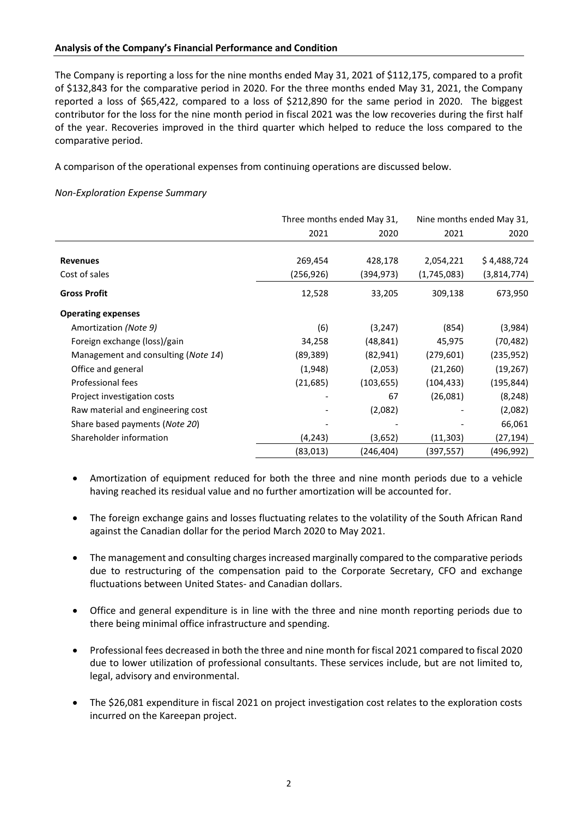## **Analysis of the Company's Financial Performance and Condition**

The Company is reporting a loss for the nine months ended May 31, 2021 of \$112,175, compared to a profit of \$132,843 for the comparative period in 2020. For the three months ended May 31, 2021, the Company reported a loss of \$65,422, compared to a loss of \$212,890 for the same period in 2020. The biggest contributor for the loss for the nine month period in fiscal 2021 was the low recoveries during the first half of the year. Recoveries improved in the third quarter which helped to reduce the loss compared to the comparative period.

A comparison of the operational expenses from continuing operations are discussed below.

# *Non-Exploration Expense Summary*

|                                     |           | Three months ended May 31, | Nine months ended May 31, |             |  |
|-------------------------------------|-----------|----------------------------|---------------------------|-------------|--|
|                                     | 2021      | 2020                       | 2021                      | 2020        |  |
|                                     |           |                            |                           |             |  |
| <b>Revenues</b>                     | 269,454   | 428,178                    | 2,054,221                 | \$4,488,724 |  |
| Cost of sales                       | (256,926) | (394,973)                  | (1,745,083)               | (3,814,774) |  |
| <b>Gross Profit</b>                 | 12,528    | 33,205                     | 309,138                   | 673,950     |  |
| <b>Operating expenses</b>           |           |                            |                           |             |  |
| Amortization (Note 9)               | (6)       | (3, 247)                   | (854)                     | (3,984)     |  |
| Foreign exchange (loss)/gain        | 34,258    | (48, 841)                  | 45,975                    | (70, 482)   |  |
| Management and consulting (Note 14) | (89,389)  | (82, 941)                  | (279, 601)                | (235, 952)  |  |
| Office and general                  | (1,948)   | (2,053)                    | (21, 260)                 | (19, 267)   |  |
| Professional fees                   | (21, 685) | (103, 655)                 | (104, 433)                | (195, 844)  |  |
| Project investigation costs         |           | 67                         | (26,081)                  | (8, 248)    |  |
| Raw material and engineering cost   |           | (2,082)                    |                           | (2,082)     |  |
| Share based payments (Note 20)      |           |                            |                           | 66,061      |  |
| Shareholder information             | (4, 243)  | (3,652)                    | (11, 303)                 | (27,194)    |  |
|                                     | (83,013)  | (246,404)                  | (397,557)                 | (496,992)   |  |

- Amortization of equipment reduced for both the three and nine month periods due to a vehicle having reached its residual value and no further amortization will be accounted for.
- The foreign exchange gains and losses fluctuating relates to the volatility of the South African Rand against the Canadian dollar for the period March 2020 to May 2021.
- The management and consulting charges increased marginally compared to the comparative periods due to restructuring of the compensation paid to the Corporate Secretary, CFO and exchange fluctuations between United States- and Canadian dollars.
- Office and general expenditure is in line with the three and nine month reporting periods due to there being minimal office infrastructure and spending.
- Professional fees decreased in both the three and nine month for fiscal 2021 compared to fiscal 2020 due to lower utilization of professional consultants. These services include, but are not limited to, legal, advisory and environmental.
- The \$26,081 expenditure in fiscal 2021 on project investigation cost relates to the exploration costs incurred on the Kareepan project.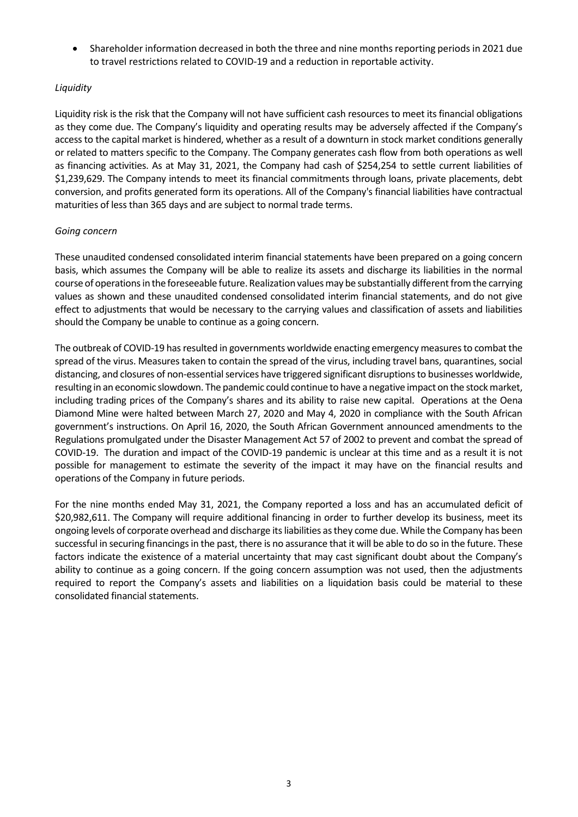• Shareholder information decreased in both the three and nine months reporting periods in 2021 due to travel restrictions related to COVID-19 and a reduction in reportable activity.

# *Liquidity*

Liquidity risk is the risk that the Company will not have sufficient cash resources to meet its financial obligations as they come due. The Company's liquidity and operating results may be adversely affected if the Company's access to the capital market is hindered, whether as a result of a downturn in stock market conditions generally or related to matters specific to the Company. The Company generates cash flow from both operations as well as financing activities. As at May 31, 2021, the Company had cash of \$254,254 to settle current liabilities of \$1,239,629. The Company intends to meet its financial commitments through loans, private placements, debt conversion, and profits generated form its operations. All of the Company's financial liabilities have contractual maturities of less than 365 days and are subject to normal trade terms.

## *Going concern*

These unaudited condensed consolidated interim financial statements have been prepared on a going concern basis, which assumes the Company will be able to realize its assets and discharge its liabilities in the normal course of operations in the foreseeable future. Realization values may be substantially different from the carrying values as shown and these unaudited condensed consolidated interim financial statements, and do not give effect to adjustments that would be necessary to the carrying values and classification of assets and liabilities should the Company be unable to continue as a going concern.

The outbreak of COVID-19 has resulted in governments worldwide enacting emergency measures to combat the spread of the virus. Measures taken to contain the spread of the virus, including travel bans, quarantines, social distancing, and closures of non-essential services have triggered significant disruptions to businesses worldwide, resulting in an economic slowdown. The pandemic could continue to have a negative impact on the stock market, including trading prices of the Company's shares and its ability to raise new capital. Operations at the Oena Diamond Mine were halted between March 27, 2020 and May 4, 2020 in compliance with the South African government's instructions. On April 16, 2020, the South African Government announced amendments to the Regulations promulgated under the Disaster Management Act 57 of 2002 to prevent and combat the spread of COVID-19. The duration and impact of the COVID-19 pandemic is unclear at this time and as a result it is not possible for management to estimate the severity of the impact it may have on the financial results and operations of the Company in future periods.

For the nine months ended May 31, 2021, the Company reported a loss and has an accumulated deficit of \$20,982,611. The Company will require additional financing in order to further develop its business, meet its ongoing levels of corporate overhead and discharge its liabilities as they come due. While the Company has been successful in securing financings in the past, there is no assurance that it will be able to do so in the future. These factors indicate the existence of a material uncertainty that may cast significant doubt about the Company's ability to continue as a going concern. If the going concern assumption was not used, then the adjustments required to report the Company's assets and liabilities on a liquidation basis could be material to these consolidated financial statements.